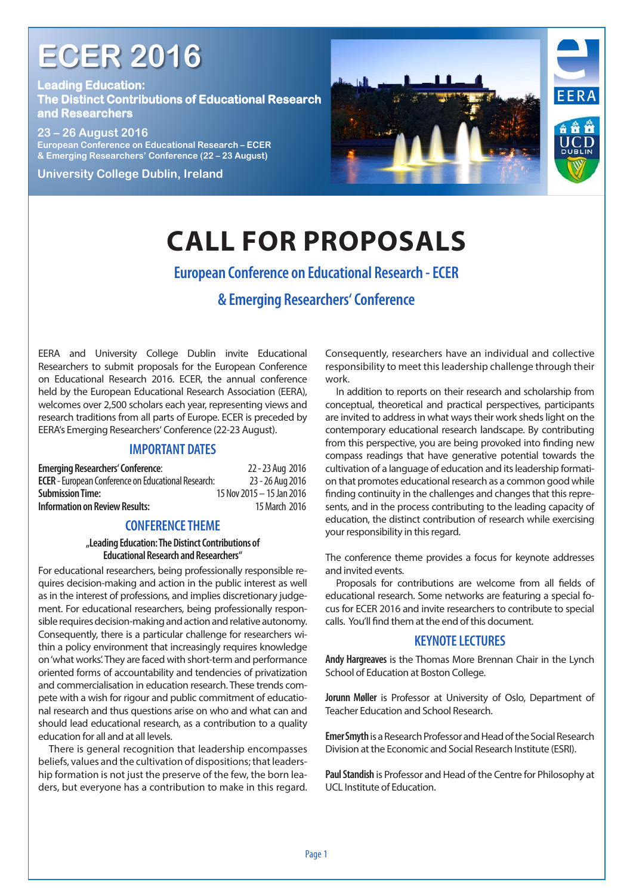# **ECER 2016**

**Leading Education: The Distinct Contributions of Educational Research and Researchers**



# **CALL FOR PROPOSALS**

# **European Conference on Educational Research - ECER**

# **& Emerging Researchers' Conference**

EERA and University College Dublin invite Educational Researchers to submit proposals for the European Conference on Educational Research 2016. ECER, the annual conference held by the European Educational Research Association (EERA), welcomes over 2,500 scholars each year, representing views and research traditions from all parts of Europe. ECER is preceded by EERA's Emerging Researchers' Conference (22-23 August).

#### **IMPORTANT DATES**

| 22 - 23 Aug 2016                                                               |
|--------------------------------------------------------------------------------|
| <b>ECER</b> - European Conference on Educational Research:<br>23 - 26 Aug 2016 |
| 15 Nov 2015 - 15 Jan 2016                                                      |
| 15 March 2016                                                                  |
|                                                                                |

#### **CONFERENCE THEME**

#### **"Leading Education: The Distinct Contributions of Educational Research and Researchers"**

For educational researchers, being professionally responsible requires decision-making and action in the public interest as well as in the interest of professions, and implies discretionary judgement. For educational researchers, being professionally responsible requires decision-making and action and relative autonomy. Consequently, there is a particular challenge for researchers within a policy environment that increasingly requires knowledge on 'what works'. They are faced with short-term and performance oriented forms of accountability and tendencies of privatization and commercialisation in education research. These trends compete with a wish for rigour and public commitment of educational research and thus questions arise on who and what can and should lead educational research, as a contribution to a quality education for all and at all levels.

There is general recognition that leadership encompasses beliefs, values and the cultivation of dispositions; that leadership formation is not just the preserve of the few, the born leaders, but everyone has a contribution to make in this regard. Consequently, researchers have an individual and collective responsibility to meet this leadership challenge through their work.

In addition to reports on their research and scholarship from conceptual, theoretical and practical perspectives, participants are invited to address in what ways their work sheds light on the contemporary educational research landscape. By contributing from this perspective, you are being provoked into finding new compass readings that have generative potential towards the cultivation of a language of education and its leadership formation that promotes educational research as a common good while finding continuity in the challenges and changes that this represents, and in the process contributing to the leading capacity of education, the distinct contribution of research while exercising your responsibility in this regard.

The conference theme provides a focus for keynote addresses and invited events.

Proposals for contributions are welcome from all fields of educational research. Some networks are featuring a special focus for ECER 2016 and invite researchers to contribute to special calls. You'll find them at the end of this document.

#### **KEYNOTE LECTURES**

**Andy Hargreaves** is the Thomas More Brennan Chair in the Lynch School of Education at Boston College.

**Jorunn Møller** is Professor at University of Oslo, Department of Teacher Education and School Research.

**Emer Smyth** is a Research Professor and Head of the Social Research Division at the Economic and Social Research Institute (ESRI).

**Paul Standish** is Professor and Head of the Centre for Philosophy at UCL Institute of Education.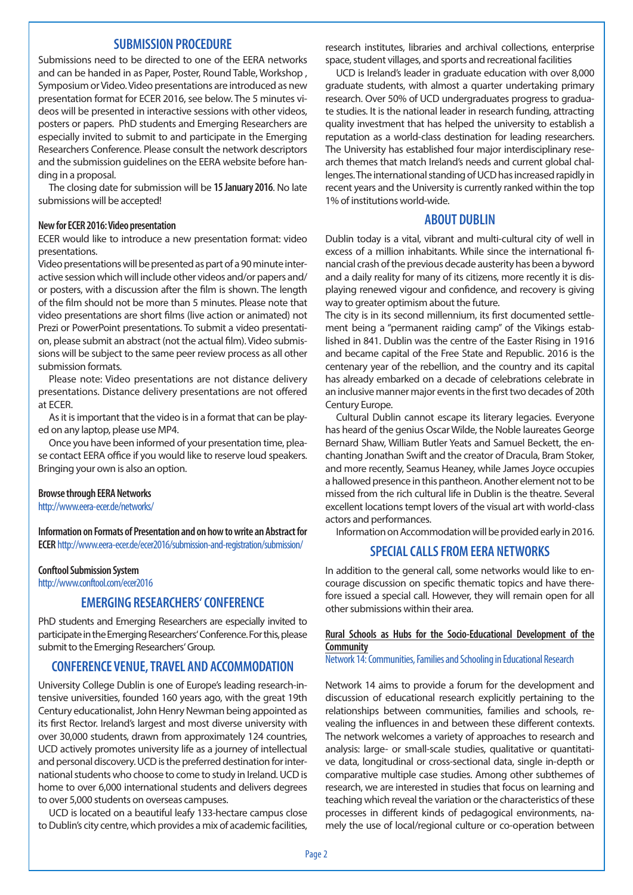#### **SUBMISSION PROCEDURE**

Submissions need to be directed to one of the EERA networks and can be handed in as Paper, Poster, Round Table, Workshop , Symposium or Video. Video presentations are introduced as new presentation format for ECER 2016, see below. The 5 minutes videos will be presented in interactive sessions with other videos, posters or papers. PhD students and Emerging Researchers are especially invited to submit to and participate in the Emerging Researchers Conference. Please consult the network descriptors and the submission guidelines on the EERA website before handing in a proposal.

The closing date for submission will be **15 January 2016**. No late submissions will be accepted!

#### **New for ECER 2016: Video presentation**

ECER would like to introduce a new presentation format: video presentations.

Video presentations will be presented as part of a 90 minute interactive session which will include other videos and/or papers and/ or posters, with a discussion after the film is shown. The length of the film should not be more than 5 minutes. Please note that video presentations are short films (live action or animated) not Prezi or PowerPoint presentations. To submit a video presentation, please submit an abstract (not the actual film). Video submissions will be subject to the same peer review process as all other submission formats.

Please note: Video presentations are not distance delivery presentations. Distance delivery presentations are not offered at ECER.

As it is important that the video is in a format that can be played on any laptop, please use MP4.

Once you have been informed of your presentation time, please contact EERA office if you would like to reserve loud speakers. Bringing your own is also an option.

#### **Browse through EERA Networks**

http://www.eera-ecer.de/networks/

**Information on Formats of Presentation and on how to write an Abstract for ECER** http://www.eera-ecer.de/ecer2016/submission-and-registration/submission/

#### **Conftool Submission System**

http://www.conftool.com/ecer2016

#### **EMERGING RESEARCHERS' CONFERENCE**

PhD students and Emerging Researchers are especially invited to participate in the Emerging Researchers' Conference. For this, please submit to the Emerging Researchers' Group.

### **CONFERENCE VENUE, TRAVEL AND ACCOMMODATION**

University College Dublin is one of Europe's leading research-intensive universities, founded 160 years ago, with the great 19th Century educationalist, John Henry Newman being appointed as its first Rector. Ireland's largest and most diverse university with over 30,000 students, drawn from approximately 124 countries, UCD actively promotes university life as a journey of intellectual and personal discovery. UCD is the preferred destination for international students who choose to come to study in Ireland. UCD is home to over 6,000 international students and delivers degrees to over 5,000 students on overseas campuses.

UCD is located on a beautiful leafy 133-hectare campus close to Dublin's city centre, which provides a mix of academic facilities,

research institutes, libraries and archival collections, enterprise space, student villages, and sports and recreational facilities

UCD is Ireland's leader in graduate education with over 8,000 graduate students, with almost a quarter undertaking primary research. Over 50% of UCD undergraduates progress to graduate studies. It is the national leader in research funding, attracting quality investment that has helped the university to establish a reputation as a world-class destination for leading researchers. The University has established four major interdisciplinary research themes that match Ireland's needs and current global challenges. The international standing of UCD has increased rapidly in recent years and the University is currently ranked within the top 1% of institutions world-wide.

#### **ABOUT DUBLIN**

Dublin today is a vital, vibrant and multi-cultural city of well in excess of a million inhabitants. While since the international financial crash of the previous decade austerity has been a byword and a daily reality for many of its citizens, more recently it is displaying renewed vigour and confidence, and recovery is giving way to greater optimism about the future.

The city is in its second millennium, its first documented settlement being a "permanent raiding camp" of the Vikings established in 841. Dublin was the centre of the Easter Rising in 1916 and became capital of the Free State and Republic. 2016 is the centenary year of the rebellion, and the country and its capital has already embarked on a decade of celebrations celebrate in an inclusive manner major events in the first two decades of 20th Century Europe.

Cultural Dublin cannot escape its literary legacies. Everyone has heard of the genius Oscar Wilde, the Noble laureates George Bernard Shaw, William Butler Yeats and Samuel Beckett, the enchanting Jonathan Swift and the creator of Dracula, Bram Stoker, and more recently, Seamus Heaney, while James Joyce occupies a hallowed presence in this pantheon. Another element not to be missed from the rich cultural life in Dublin is the theatre. Several excellent locations tempt lovers of the visual art with world-class actors and performances.

Information on Accommodation will be provided early in 2016.

#### **SPECIAL CALLS FROM EERA NETWORKS**

In addition to the general call, some networks would like to encourage discussion on specific thematic topics and have therefore issued a special call. However, they will remain open for all other submissions within their area.

#### **Rural Schools as Hubs for the Socio-Educational Development of the Community**

Network 14: Communities, Families and Schooling in Educational Research

Network 14 aims to provide a forum for the development and discussion of educational research explicitly pertaining to the relationships between communities, families and schools, revealing the influences in and between these different contexts. The network welcomes a variety of approaches to research and analysis: large- or small-scale studies, qualitative or quantitative data, longitudinal or cross-sectional data, single in-depth or comparative multiple case studies. Among other subthemes of research, we are interested in studies that focus on learning and teaching which reveal the variation or the characteristics of these processes in different kinds of pedagogical environments, namely the use of local/regional culture or co-operation between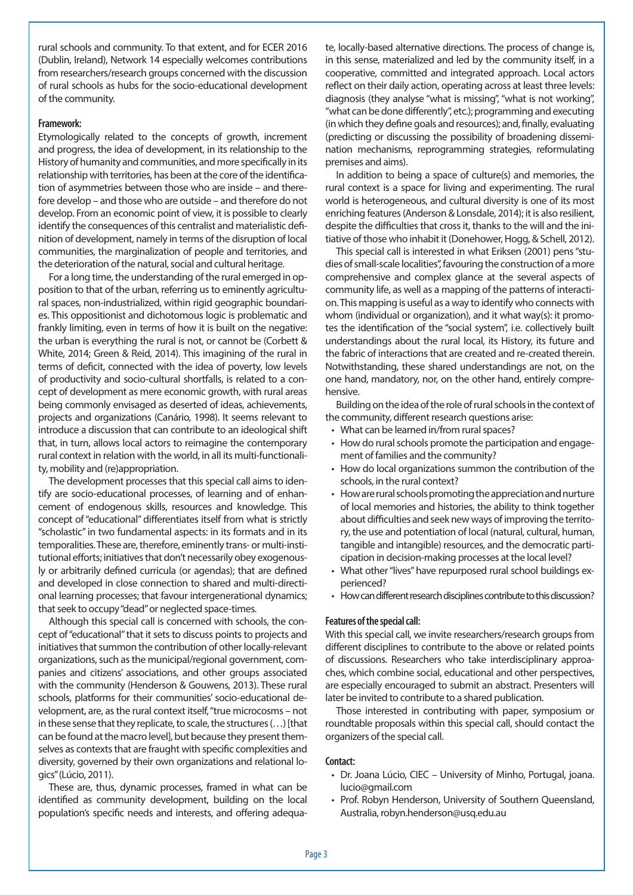(Dublin, Ireland), Network 14 especially welcomes contributions rural schools and community. To that extent, and for ECER 2016 from researchers/research groups concerned with the discussion of rural schools as hubs for the socio-educational development of the community.

#### **Framework:**

Etymologically related to the concepts of growth, increment and progress, the idea of development, in its relationship to the History of humanity and communities, and more specifically in its relationship with territories, has been at the core of the identification of asymmetries between those who are inside – and therefore develop – and those who are outside – and therefore do not develop. From an economic point of view, it is possible to clearly identify the consequences of this centralist and materialistic definition of development, namely in terms of the disruption of local communities, the marginalization of people and territories, and the deterioration of the natural, social and cultural heritage.

For a long time, the understanding of the rural emerged in opposition to that of the urban, referring us to eminently agricultural spaces, non-industrialized, within rigid geographic boundaries. This oppositionist and dichotomous logic is problematic and frankly limiting, even in terms of how it is built on the negative: the urban is everything the rural is not, or cannot be (Corbett & White, 2014; Green & Reid, 2014). This imagining of the rural in terms of deficit, connected with the idea of poverty, low levels of productivity and socio-cultural shortfalls, is related to a concept of development as mere economic growth, with rural areas being commonly envisaged as deserted of ideas, achievements, projects and organizations (Canário, 1998). It seems relevant to introduce a discussion that can contribute to an ideological shift that, in turn, allows local actors to reimagine the contemporary rural context in relation with the world, in all its multi-functionality, mobility and (re)appropriation.

The development processes that this special call aims to identify are socio-educational processes, of learning and of enhancement of endogenous skills, resources and knowledge. This concept of "educational" differentiates itself from what is strictly "scholastic" in two fundamental aspects: in its formats and in its temporalities. These are, therefore, eminently trans- or multi-institutional efforts; initiatives that don't necessarily obey exogenously or arbitrarily defined curricula (or agendas); that are defined and developed in close connection to shared and multi-directional learning processes; that favour intergenerational dynamics; that seek to occupy "dead" or neglected space-times.

Although this special call is concerned with schools, the concept of "educational" that it sets to discuss points to projects and initiatives that summon the contribution of other locally-relevant organizations, such as the municipal/regional government, companies and citizens' associations, and other groups associated with the community (Henderson & Gouwens, 2013). These rural schools, platforms for their communities' socio-educational development, are, as the rural context itself, "true microcosms – not in these sense that they replicate, to scale, the structures (…) [that can be found at the macro level], but because they present themselves as contexts that are fraught with specific complexities and diversity, governed by their own organizations and relational logics" (Lúcio, 2011).

These are, thus, dynamic processes, framed in what can be identified as community development, building on the local population's specific needs and interests, and offering adequate, locally-based alternative directions. The process of change is, in this sense, materialized and led by the community itself, in a cooperative, committed and integrated approach. Local actors reflect on their daily action, operating across at least three levels: diagnosis (they analyse "what is missing", "what is not working", "what can be done differently", etc.); programming and executing (in which they define goals and resources); and, finally, evaluating (predicting or discussing the possibility of broadening dissemination mechanisms, reprogramming strategies, reformulating premises and aims).

In addition to being a space of culture(s) and memories, the rural context is a space for living and experimenting. The rural world is heterogeneous, and cultural diversity is one of its most enriching features (Anderson & Lonsdale, 2014); it is also resilient, despite the difficulties that cross it, thanks to the will and the initiative of those who inhabit it (Donehower, Hogg, & Schell, 2012).

This special call is interested in what Eriksen (2001) pens "studies of small-scale localities", favouring the construction of a more comprehensive and complex glance at the several aspects of community life, as well as a mapping of the patterns of interaction. This mapping is useful as a way to identify who connects with whom (individual or organization), and it what way(s): it promotes the identification of the "social system", i.e. collectively built understandings about the rural local, its History, its future and the fabric of interactions that are created and re-created therein. Notwithstanding, these shared understandings are not, on the one hand, mandatory, nor, on the other hand, entirely comprehensive.

Building on the idea of the role of rural schools in the context of the community, different research questions arise:

- What can be learned in/from rural spaces?
- How do rural schools promote the participation and engagement of families and the community?
- How do local organizations summon the contribution of the schools, in the rural context?
- How are rural schools promoting the appreciation and nurture of local memories and histories, the ability to think together about difficulties and seek new ways of improving the territory, the use and potentiation of local (natural, cultural, human, tangible and intangible) resources, and the democratic participation in decision-making processes at the local level?
- What other "lives" have repurposed rural school buildings experienced?
- How can different research disciplines contribute to this discussion?

#### **Features of the special call:**

With this special call, we invite researchers/research groups from different disciplines to contribute to the above or related points of discussions. Researchers who take interdisciplinary approaches, which combine social, educational and other perspectives, are especially encouraged to submit an abstract. Presenters will later be invited to contribute to a shared publication.

Those interested in contributing with paper, symposium or roundtable proposals within this special call, should contact the organizers of the special call.

#### **Contact:**

- Dr. Joana Lúcio, CIEC University of Minho, Portugal, joana. lucio@gmail.com
- Prof. Robyn Henderson, University of Southern Oueensland, Australia, robyn.henderson@usq.edu.au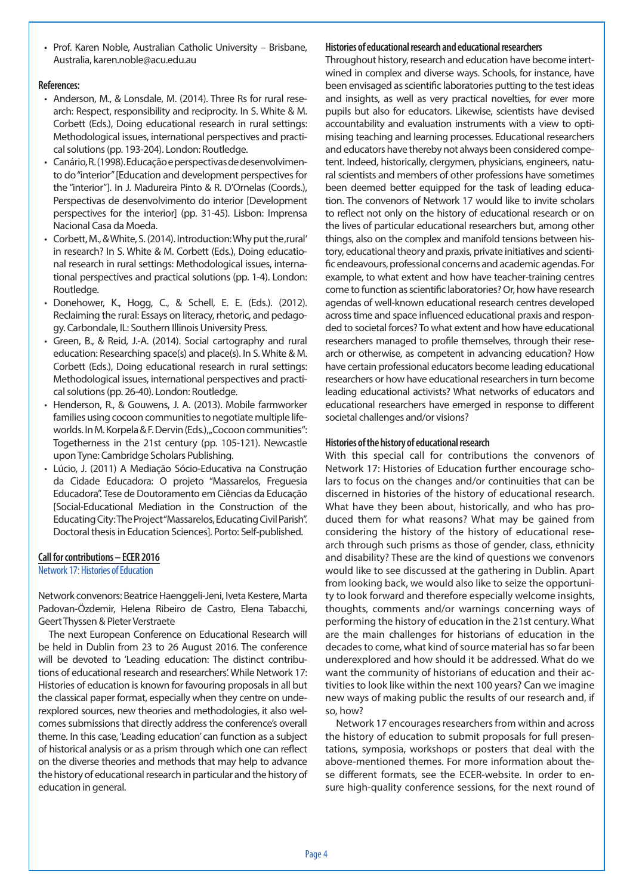• Prof. Karen Noble, Australian Catholic University - Brisbane, Australia, karen.noble@acu.edu.au

#### **References:**

- Anderson, M., & Lonsdale, M. (2014). Three Rs for rural research: Respect, responsibility and reciprocity. In S. White & M. Corbett (Eds.), Doing educational research in rural settings: Methodological issues, international perspectives and practical solutions (pp. 193-204). London: Routledge.
- • Canário, R. (1998). Educação e perspectivas de desenvolvimento do "interior" [Education and development perspectives for the "interior"]. In J. Madureira Pinto & R. D'Ornelas (Coords.), Perspectivas de desenvolvimento do interior [Development perspectives for the interior] (pp. 31-45). Lisbon: Imprensa Nacional Casa da Moeda.
- Corbett, M., & White, S. (2014). Introduction: Why put the, rural' in research? In S. White & M. Corbett (Eds.), Doing educational research in rural settings: Methodological issues, international perspectives and practical solutions (pp. 1-4). London: Routledge.
- • Donehower, K., Hogg, C., & Schell, E. E. (Eds.). (2012). Reclaiming the rural: Essays on literacy, rhetoric, and pedagogy. Carbondale, IL: Southern Illinois University Press.
- • Green, B., & Reid, J.-A. (2014). Social cartography and rural education: Researching space(s) and place(s). In S. White & M. Corbett (Eds.), Doing educational research in rural settings: Methodological issues, international perspectives and practical solutions (pp. 26-40). London: Routledge.
- Henderson, R., & Gouwens, J. A. (2013). Mobile farmworker families using cocoon communities to negotiate multiple lifeworlds. In M. Korpela & F. Dervin (Eds.), "Cocoon communities": Togetherness in the 21st century (pp. 105-121). Newcastle upon Tyne: Cambridge Scholars Publishing.
- • Lúcio, J. (2011) A Mediação Sócio-Educativa na Construção da Cidade Educadora: O projeto "Massarelos, Freguesia Educadora". Tese de Doutoramento em Ciências da Educação [Social-Educational Mediation in the Construction of the Educating City: The Project "Massarelos, Educating Civil Parish". Doctoral thesis in Education Sciences]. Porto: Self-published.

#### **Call for contributions – ECER 2016**

Network 17: Histories of Education

Network convenors: Beatrice Haenggeli-Jeni, Iveta Kestere, Marta Padovan-Özdemir, Helena Ribeiro de Castro, Elena Tabacchi, Geert Thyssen & Pieter Verstraete

The next European Conference on Educational Research will be held in Dublin from 23 to 26 August 2016. The conference will be devoted to 'Leading education: The distinct contributions of educational research and researchers'. While Network 17: Histories of education is known for favouring proposals in all but the classical paper format, especially when they centre on underexplored sources, new theories and methodologies, it also welcomes submissions that directly address the conference's overall theme. In this case, 'Leading education' can function as a subject of historical analysis or as a prism through which one can reflect on the diverse theories and methods that may help to advance the history of educational research in particular and the history of education in general.

#### **Histories of educational research and educational researchers**

Throughout history, research and education have become intertwined in complex and diverse ways. Schools, for instance, have been envisaged as scientific laboratories putting to the test ideas and insights, as well as very practical novelties, for ever more pupils but also for educators. Likewise, scientists have devised accountability and evaluation instruments with a view to optimising teaching and learning processes. Educational researchers and educators have thereby not always been considered competent. Indeed, historically, clergymen, physicians, engineers, natural scientists and members of other professions have sometimes been deemed better equipped for the task of leading education. The convenors of Network 17 would like to invite scholars to reflect not only on the history of educational research or on the lives of particular educational researchers but, among other things, also on the complex and manifold tensions between history, educational theory and praxis, private initiatives and scientific endeavours, professional concerns and academic agendas. For example, to what extent and how have teacher-training centres come to function as scientific laboratories? Or, how have research agendas of well-known educational research centres developed across time and space influenced educational praxis and responded to societal forces? To what extent and how have educational researchers managed to profile themselves, through their research or otherwise, as competent in advancing education? How have certain professional educators become leading educational researchers or how have educational researchers in turn become leading educational activists? What networks of educators and educational researchers have emerged in response to different societal challenges and/or visions?

#### **Histories of the history of educational research**

With this special call for contributions the convenors of Network 17: Histories of Education further encourage scholars to focus on the changes and/or continuities that can be discerned in histories of the history of educational research. What have they been about, historically, and who has produced them for what reasons? What may be gained from considering the history of the history of educational research through such prisms as those of gender, class, ethnicity and disability? These are the kind of questions we convenors would like to see discussed at the gathering in Dublin. Apart from looking back, we would also like to seize the opportunity to look forward and therefore especially welcome insights, thoughts, comments and/or warnings concerning ways of performing the history of education in the 21st century. What are the main challenges for historians of education in the decades to come, what kind of source material has so far been underexplored and how should it be addressed. What do we want the community of historians of education and their activities to look like within the next 100 years? Can we imagine new ways of making public the results of our research and, if so, how?

Network 17 encourages researchers from within and across the history of education to submit proposals for full presentations, symposia, workshops or posters that deal with the above-mentioned themes. For more information about these different formats, see the ECER-website. In order to ensure high-quality conference sessions, for the next round of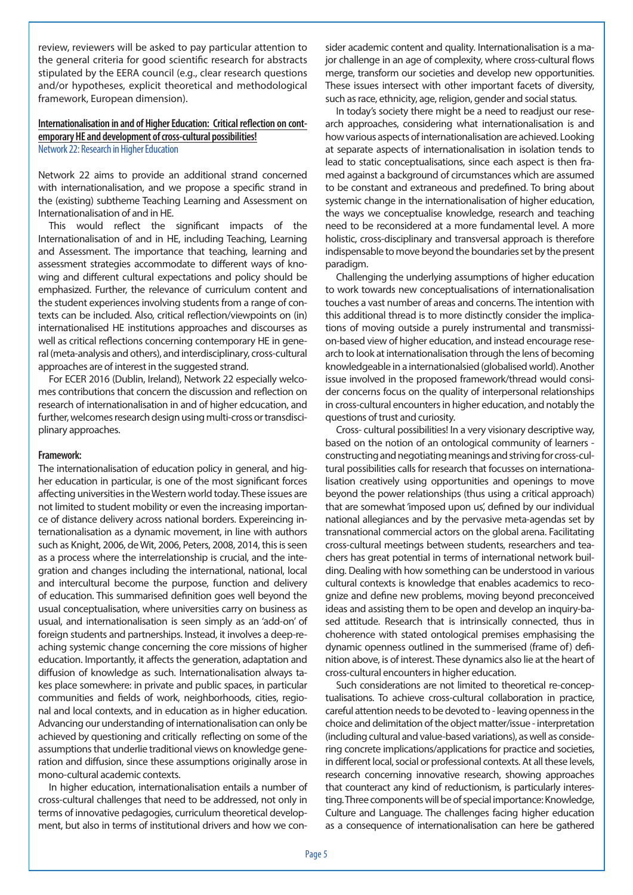review, reviewers will be asked to pay particular attention to the general criteria for good scientific research for abstracts stipulated by the EERA council (e.g., clear research questions and/or hypotheses, explicit theoretical and methodological framework, European dimension).

#### **Internationalisation in and of Higher Education: Critical reflection on contemporary HE and development of cross-cultural possibilities!** Network 22: Research in Higher Education

Network 22 aims to provide an additional strand concerned with internationalisation, and we propose a specific strand in the (existing) subtheme Teaching Learning and Assessment on Internationalisation of and in HE.

This would reflect the significant impacts of the Internationalisation of and in HE, including Teaching, Learning and Assessment. The importance that teaching, learning and assessment strategies accommodate to different ways of knowing and different cultural expectations and policy should be emphasized. Further, the relevance of curriculum content and the student experiences involving students from a range of contexts can be included. Also, critical reflection/viewpoints on (in) internationalised HE institutions approaches and discourses as well as critical reflections concerning contemporary HE in general (meta-analysis and others), and interdisciplinary, cross-cultural approaches are of interest in the suggested strand.

For ECER 2016 (Dublin, Ireland), Network 22 especially welcomes contributions that concern the discussion and reflection on research of internationalisation in and of higher edcucation, and further, welcomes research design using multi-cross or transdisciplinary approaches.

#### **Framework:**

The internationalisation of education policy in general, and higher education in particular, is one of the most significant forces affecting universities in the Western world today. These issues are not limited to student mobility or even the increasing importance of distance delivery across national borders. Expereincing internationalisation as a dynamic movement, in line with authors such as Knight, 2006, de Wit, 2006, Peters, 2008, 2014, this is seen as a process where the interrelationship is crucial, and the integration and changes including the international, national, local and intercultural become the purpose, function and delivery of education. This summarised definition goes well beyond the usual conceptualisation, where universities carry on business as usual, and internationalisation is seen simply as an 'add-on' of foreign students and partnerships. Instead, it involves a deep-reaching systemic change concerning the core missions of higher education. Importantly, it affects the generation, adaptation and diffusion of knowledge as such. Internationalisation always takes place somewhere: in private and public spaces, in particular communities and fields of work, neighborhoods, cities, regional and local contexts, and in education as in higher education. Advancing our understanding of internationalisation can only be achieved by questioning and critically reflecting on some of the assumptions that underlie traditional views on knowledge generation and diffusion, since these assumptions originally arose in mono-cultural academic contexts.

In higher education, internationalisation entails a number of cross-cultural challenges that need to be addressed, not only in terms of innovative pedagogies, curriculum theoretical development, but also in terms of institutional drivers and how we consider academic content and quality. Internationalisation is a major challenge in an age of complexity, where cross-cultural flows merge, transform our societies and develop new opportunities. These issues intersect with other important facets of diversity, such as race, ethnicity, age, religion, gender and social status.

In today's society there might be a need to readjust our research approaches, considering what internationalisation is and how various aspects of internationalisation are achieved. Looking at separate aspects of internationalisation in isolation tends to lead to static conceptualisations, since each aspect is then framed against a background of circumstances which are assumed to be constant and extraneous and predefined. To bring about systemic change in the internationalisation of higher education, the ways we conceptualise knowledge, research and teaching need to be reconsidered at a more fundamental level. A more holistic, cross-disciplinary and transversal approach is therefore indispensable to move beyond the boundaries set by the present paradigm.

Challenging the underlying assumptions of higher education to work towards new conceptualisations of internationalisation touches a vast number of areas and concerns. The intention with this additional thread is to more distinctly consider the implications of moving outside a purely instrumental and transmission-based view of higher education, and instead encourage research to look at internationalisation through the lens of becoming knowledgeable in a internationalsied (globalised world). Another issue involved in the proposed framework/thread would consider concerns focus on the quality of interpersonal relationships in cross-cultural encounters in higher education, and notably the questions of trust and curiosity.

Cross- cultural possibilities! In a very visionary descriptive way, based on the notion of an ontological community of learners constructing and negotiating meanings and striving for cross-cultural possibilities calls for research that focusses on internationalisation creatively using opportunities and openings to move beyond the power relationships (thus using a critical approach) that are somewhat 'imposed upon us', defined by our individual national allegiances and by the pervasive meta-agendas set by transnational commercial actors on the global arena. Facilitating cross-cultural meetings between students, researchers and teachers has great potential in terms of international network building. Dealing with how something can be understood in various cultural contexts is knowledge that enables academics to recognize and define new problems, moving beyond preconceived ideas and assisting them to be open and develop an inquiry-based attitude. Research that is intrinsically connected, thus in choherence with stated ontological premises emphasising the dynamic openness outlined in the summerised (frame of) definition above, is of interest. These dynamics also lie at the heart of cross-cultural encounters in higher education.

Such considerations are not limited to theoretical re-conceptualisations. To achieve cross-cultural collaboration in practice, careful attention needs to be devoted to - leaving openness in the choice and delimitation of the object matter/issue - interpretation (including cultural and value-based variations), as well as considering concrete implications/applications for practice and societies, in different local, social or professional contexts. At all these levels, research concerning innovative research, showing approaches that counteract any kind of reductionism, is particularly interesting. Three components will be of special importance: Knowledge, Culture and Language. The challenges facing higher education as a consequence of internationalisation can here be gathered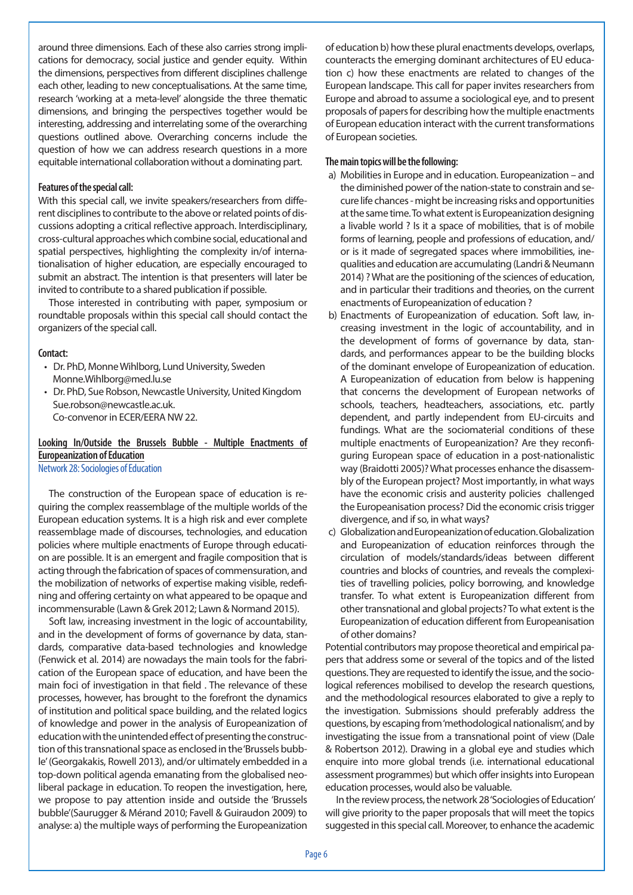around three dimensions. Each of these also carries strong implications for democracy, social justice and gender equity. Within the dimensions, perspectives from different disciplines challenge each other, leading to new conceptualisations. At the same time, research 'working at a meta-level' alongside the three thematic dimensions, and bringing the perspectives together would be interesting, addressing and interrelating some of the overarching questions outlined above. Overarching concerns include the question of how we can address research questions in a more equitable international collaboration without a dominating part.

#### **Features of the special call:**

With this special call, we invite speakers/researchers from different disciplines to contribute to the above or related points of discussions adopting a critical reflective approach. Interdisciplinary, cross-cultural approaches which combine social, educational and spatial perspectives, highlighting the complexity in/of internationalisation of higher education, are especially encouraged to submit an abstract. The intention is that presenters will later be invited to contribute to a shared publication if possible.

Those interested in contributing with paper, symposium or roundtable proposals within this special call should contact the organizers of the special call.

#### **Contact:**

- Dr. PhD, Monne Wihlborg, Lund University, Sweden Monne.Wihlborg@med.lu.se
- Dr. PhD, Sue Robson, Newcastle University, United Kingdom Sue.robson@newcastle.ac.uk.

Co-convenor in ECER/EERA NW 22.

#### **Looking In/Outside the Brussels Bubble - Multiple Enactments of Europeanization of Education**

Network 28: Sociologies of Education

The construction of the European space of education is requiring the complex reassemblage of the multiple worlds of the European education systems. It is a high risk and ever complete reassemblage made of discourses, technologies, and education policies where multiple enactments of Europe through education are possible. It is an emergent and fragile composition that is acting through the fabrication of spaces of commensuration, and the mobilization of networks of expertise making visible, redefining and offering certainty on what appeared to be opaque and incommensurable (Lawn & Grek 2012; Lawn & Normand 2015).

Soft law, increasing investment in the logic of accountability, and in the development of forms of governance by data, standards, comparative data-based technologies and knowledge (Fenwick et al. 2014) are nowadays the main tools for the fabrication of the European space of education, and have been the main foci of investigation in that field . The relevance of these processes, however, has brought to the forefront the dynamics of institution and political space building, and the related logics of knowledge and power in the analysis of Europeanization of education with the unintended effect of presenting the construction of this transnational space as enclosed in the 'Brussels bubble' (Georgakakis, Rowell 2013), and/or ultimately embedded in a top-down political agenda emanating from the globalised neoliberal package in education. To reopen the investigation, here, we propose to pay attention inside and outside the 'Brussels bubble'(Saurugger & Mérand 2010; Favell & Guiraudon 2009) to analyse: a) the multiple ways of performing the Europeanization

of education b) how these plural enactments develops, overlaps, counteracts the emerging dominant architectures of EU education c) how these enactments are related to changes of the European landscape. This call for paper invites researchers from Europe and abroad to assume a sociological eye, and to present proposals of papers for describing how the multiple enactments of European education interact with the current transformations of European societies.

#### **The main topics will be the following:**

- a) Mobilities in Europe and in education. Europeanization and the diminished power of the nation-state to constrain and secure life chances - might be increasing risks and opportunities at the same time. To what extent is Europeanization designing a livable world ? Is it a space of mobilities, that is of mobile forms of learning, people and professions of education, and/ or is it made of segregated spaces where immobilities, inequalities and education are accumulating (Landri & Neumann 2014) ? What are the positioning of the sciences of education, and in particular their traditions and theories, on the current enactments of Europeanization of education ?
- b) Enactments of Europeanization of education. Soft law, increasing investment in the logic of accountability, and in the development of forms of governance by data, standards, and performances appear to be the building blocks of the dominant envelope of Europeanization of education. A Europeanization of education from below is happening that concerns the development of European networks of schools, teachers, headteachers, associations, etc. partly dependent, and partly independent from EU-circuits and fundings. What are the sociomaterial conditions of these multiple enactments of Europeanization? Are they reconfiguring European space of education in a post-nationalistic way (Braidotti 2005)? What processes enhance the disassembly of the European project? Most importantly, in what ways have the economic crisis and austerity policies challenged the Europeanisation process? Did the economic crisis trigger divergence, and if so, in what ways?
- c) Globalization and Europeanization of education. Globalization and Europeanization of education reinforces through the circulation of models/standards/ideas between different countries and blocks of countries, and reveals the complexities of travelling policies, policy borrowing, and knowledge transfer. To what extent is Europeanization different from other transnational and global projects? To what extent is the Europeanization of education different from Europeanisation of other domains?

Potential contributors may propose theoretical and empirical papers that address some or several of the topics and of the listed questions. They are requested to identify the issue, and the sociological references mobilised to develop the research questions, and the methodological resources elaborated to give a reply to the investigation. Submissions should preferably address the questions, by escaping from 'methodological nationalism', and by investigating the issue from a transnational point of view (Dale & Robertson 2012). Drawing in a global eye and studies which enquire into more global trends (i.e. international educational assessment programmes) but which offer insights into European education processes, would also be valuable.

In the review process, the network 28 'Sociologies of Education' will give priority to the paper proposals that will meet the topics suggested in this special call. Moreover, to enhance the academic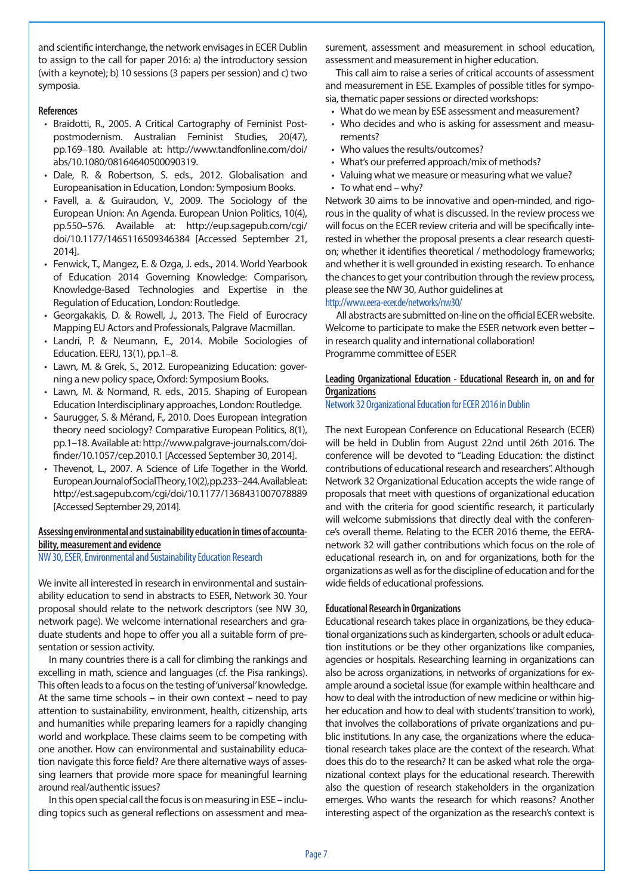and scientific interchange, the network envisages in ECER Dublin to assign to the call for paper 2016: a) the introductory session (with a keynote); b) 10 sessions (3 papers per session) and c) two symposia.

#### **References**

- Braidotti, R., 2005. A Critical Cartography of Feminist Postpostmodernism. Australian Feminist Studies, 20(47), pp.169–180. Available at: http://www.tandfonline.com/doi/ abs/10.1080/08164640500090319.
- Dale, R. & Robertson, S. eds., 2012. Globalisation and Europeanisation in Education, London: Symposium Books.
- • Favell, a. & Guiraudon, V., 2009. The Sociology of the European Union: An Agenda. European Union Politics, 10(4), pp.550–576. Available at: http://eup.sagepub.com/cgi/ doi/10.1177/1465116509346384 [Accessed September 21, 2014].
- Fenwick, T., Mangez, E. & Ozga, J. eds., 2014. World Yearbook of Education 2014 Governing Knowledge: Comparison, Knowledge-Based Technologies and Expertise in the Regulation of Education, London: Routledge.
- Georgakakis, D. & Rowell, J., 2013. The Field of Eurocracy Mapping EU Actors and Professionals, Palgrave Macmillan.
- • Landri, P. & Neumann, E., 2014. Mobile Sociologies of Education. EERJ, 13(1), pp.1–8.
- Lawn, M. & Grek, S., 2012. Europeanizing Education: governing a new policy space, Oxford: Symposium Books.
- • Lawn, M. & Normand, R. eds., 2015. Shaping of European Education Interdisciplinary approaches, London: Routledge.
- Saurugger, S. & Mérand, F., 2010. Does European integration theory need sociology? Comparative European Politics, 8(1), pp.1–18. Available at: http://www.palgrave-journals.com/doifinder/10.1057/cep.2010.1 [Accessed September 30, 2014].
- Thevenot, L., 2007. A Science of Life Together in the World. European Journal of Social Theory, 10(2), pp.233–244. Available at: http://est.sagepub.com/cgi/doi/10.1177/1368431007078889 [Accessed September 29, 2014].

### **Assessing environmental and sustainability education in times of accountability, measurement and evidence**

#### NW 30, ESER, Environmental and Sustainability Education Research

We invite all interested in research in environmental and sustainability education to send in abstracts to ESER, Network 30. Your proposal should relate to the network descriptors (see NW 30, network page). We welcome international researchers and graduate students and hope to offer you all a suitable form of presentation or session activity.

In many countries there is a call for climbing the rankings and excelling in math, science and languages (cf. the Pisa rankings). This often leads to a focus on the testing of 'universal' knowledge. At the same time schools – in their own context – need to pay attention to sustainability, environment, health, citizenship, arts and humanities while preparing learners for a rapidly changing world and workplace. These claims seem to be competing with one another. How can environmental and sustainability education navigate this force field? Are there alternative ways of assessing learners that provide more space for meaningful learning around real/authentic issues?

In this open special call the focus is on measuring in ESE – including topics such as general reflections on assessment and measurement, assessment and measurement in school education, assessment and measurement in higher education.

This call aim to raise a series of critical accounts of assessment and measurement in ESE. Examples of possible titles for symposia, thematic paper sessions or directed workshops:

- What do we mean by ESE assessment and measurement?
- Who decides and who is asking for assessment and measurements?
- Who values the results/outcomes?
- What's our preferred approach/mix of methods?
- Valuing what we measure or measuring what we value?  $\cdot$  To what end – why?

Network 30 aims to be innovative and open-minded, and rigorous in the quality of what is discussed. In the review process we will focus on the ECER review criteria and will be specifically interested in whether the proposal presents a clear research question; whether it identifies theoretical / methodology frameworks; and whether it is well grounded in existing research. To enhance the chances to get your contribution through the review process, please see the NW 30, Author guidelines at

#### http://www.eera-ecer.de/networks/nw30/

All abstracts are submitted on-line on the official ECER website. Welcome to participate to make the ESER network even better – in research quality and international collaboration! Programme committee of ESER

#### **Leading Organizational Education - Educational Research in, on and for Organizations**

Network 32 Organizational Education for ECER 2016 in Dublin

The next European Conference on Educational Research (ECER) will be held in Dublin from August 22nd until 26th 2016. The conference will be devoted to "Leading Education: the distinct contributions of educational research and researchers". Although Network 32 Organizational Education accepts the wide range of proposals that meet with questions of organizational education and with the criteria for good scientific research, it particularly will welcome submissions that directly deal with the conference's overall theme. Relating to the ECER 2016 theme, the EERAnetwork 32 will gather contributions which focus on the role of educational research in, on and for organizations, both for the organizations as well as for the discipline of education and for the wide fields of educational professions.

#### **Educational Research in Organizations**

Educational research takes place in organizations, be they educational organizations such as kindergarten, schools or adult education institutions or be they other organizations like companies, agencies or hospitals. Researching learning in organizations can also be across organizations, in networks of organizations for example around a societal issue (for example within healthcare and how to deal with the introduction of new medicine or within higher education and how to deal with students' transition to work), that involves the collaborations of private organizations and public institutions. In any case, the organizations where the educational research takes place are the context of the research. What does this do to the research? It can be asked what role the organizational context plays for the educational research. Therewith also the question of research stakeholders in the organization emerges. Who wants the research for which reasons? Another interesting aspect of the organization as the research's context is